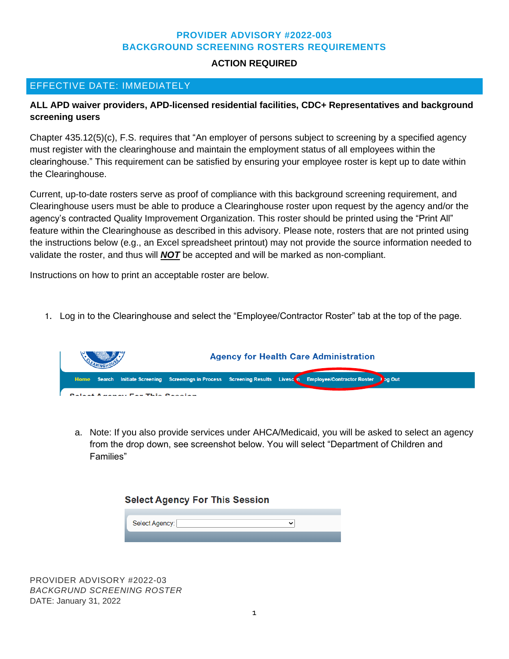## **PROVIDER ADVISORY #2022-003 BACKGROUND SCREENING ROSTERS REQUIREMENTS**

## **ACTION REQUIRED**

## EFFECTIVE DATE: IMMEDIATELY

## **ALL APD waiver providers, APD-licensed residential facilities, CDC+ Representatives and background screening users**

Chapter 435.12(5)(c), F.S. requires that "An employer of persons subject to screening by a specified agency must register with the clearinghouse and maintain the employment status of all employees within the clearinghouse." This requirement can be satisfied by ensuring your employee roster is kept up to date within the Clearinghouse.

Current, up-to-date rosters serve as proof of compliance with this background screening requirement, and Clearinghouse users must be able to produce a Clearinghouse roster upon request by the agency and/or the agency's contracted Quality Improvement Organization. This roster should be printed using the "Print All" feature within the Clearinghouse as described in this advisory. Please note, rosters that are not printed using the instructions below (e.g., an Excel spreadsheet printout) may not provide the source information needed to validate the roster, and thus will *NOT* be accepted and will be marked as non-compliant.

Instructions on how to print an acceptable roster are below.

1. Log in to the Clearinghouse and select the "Employee/Contractor Roster" tab at the top of the page.



a. Note: If you also provide services under AHCA/Medicaid, you will be asked to select an agency from the drop down, see screenshot below. You will select "Department of Children and Families"

| <b>Select Agency For This Session</b> |                |  |
|---------------------------------------|----------------|--|
|                                       |                |  |
|                                       | Select Agency: |  |

PROVIDER ADVISORY #2022-03 *BACKGRUND SCREENING ROSTER* DATE: January 31, 2022